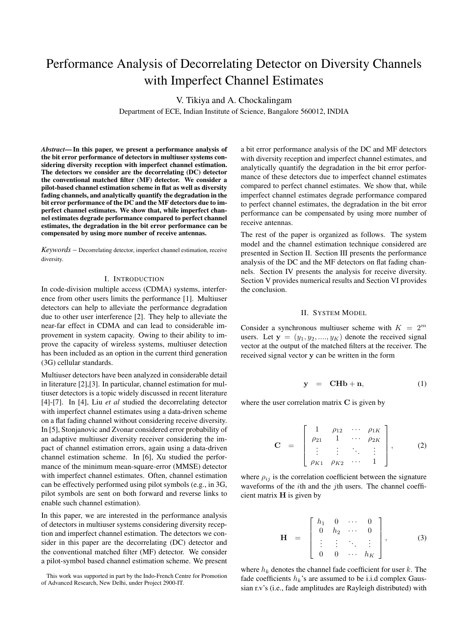# Performance Analysis of Decorrelating Detector on Diversity Channels with Imperfect Channel Estimates

V. Tikiya and A. Chockalingam

Department of ECE, Indian Institute of Science, Bangalore 560012, INDIA

*Abstract***— In this paper, we present a performance analysis of the bit error performance of detectors in multiuser systems considering diversity reception with imperfect channel estimation. The detectors we consider are the decorrelating (DC) detector the conventional matched filter (MF) detector. We consider a pilot-based channel estimation scheme in flat as well as diversity fading channels, and analytically quantify the degradation in the bit error performance of the DC and the MF detectors due to imperfect channel estimates. We show that, while imperfect channel estimates degrade performance compared to perfect channel estimates, the degradation in the bit error performance can be compensated by using more number of receive antennas.**

*Keywords* – Decorrelating detector, imperfect channel estimation, receive diversity.

## I. INTRODUCTION

In code-division multiple access (CDMA) systems, interference from other users limits the performance [1]. Multiuser detectors can help to alleviate the performance degradation due to other user interference [2]. They help to alleviate the near-far effect in CDMA and can lead to considerable improvement in system capacity. Owing to their ability to improve the capacity of wireless systems, multiuser detection has been included as an option in the current third generation (3G) cellular standards.

Multiuser detectors have been analyzed in considerable detail in literature [2],[3]. In particular, channel estimation for multiuser detectors is a topic widely discussed in recent literature [4]-[7]. In [4], Liu *et al* studied the decorrelating detector with imperfect channel estimates using a data-driven scheme on a flat fading channel without considering receive diversity. In [5], Stonjanovic and Zvonar considered error probability of an adaptive multiuser diversity receiver considering the impact of channel estimation errors, again using a data-driven channel estimation scheme. In [6], Xu studied the performance of the minimum mean-square-error (MMSE) detector with imperfect channel estimates. Often, channel estimation can be effectively performed using pilot symbols (e.g., in 3G, pilot symbols are sent on both forward and reverse links to enable such channel estimation).

In this paper, we are interested in the performance analysis of detectors in multiuser systems considering diversity reception and imperfect channel estimation. The detectors we consider in this paper are the decorrelating (DC) detector and the conventional matched filter (MF) detector. We consider a pilot-symbol based channel estimation scheme. We present

This work was supported in part by the Indo-French Centre for Promotion of Advanced Research, New Delhi, under Project 2900-IT.

a bit error performance analysis of the DC and MF detectors with diversity reception and imperfect channel estimates, and analytically quantify the degradation in the bit error performance of these detectors due to imperfect channel estimates compared to perfect channel estimates. We show that, while imperfect channel estimates degrade performance compared to perfect channel estimates, the degradation in the bit error performance can be compensated by using more number of receive antennas.

The rest of the paper is organized as follows. The system model and the channel estimation technique considered are presented in Section II. Section III presents the performance analysis of the DC and the MF detectors on flat fading channels. Section IV presents the analysis for receive diversity. Section V provides numerical results and Section VI provides the conclusion.

### II. SYSTEM MODEL

Consider a synchronous multiuser scheme with  $K = 2^m$ users. Let  $y = (y_1, y_2, ..., y_K)$  denote the received signal vector at the output of the matched filters at the receiver. The received signal vector **y** can be written in the form

$$
y = CHb + n, \tag{1}
$$

where the user correlation matrix **C** is given by

$$
\mathbf{C} = \begin{bmatrix} 1 & \rho_{12} & \cdots & \rho_{1K} \\ \rho_{21} & 1 & \cdots & \rho_{2K} \\ \vdots & \vdots & \ddots & \vdots \\ \rho_{K1} & \rho_{K2} & \cdots & 1 \end{bmatrix}, \quad (2)
$$

where  $\rho_{ij}$  is the correlation coefficient between the signature waveforms of the  $i$ th and the  $j$ th users. The channel coefficient matrix **H** is given by

$$
\mathbf{H} = \begin{bmatrix} h_1 & 0 & \cdots & 0 \\ 0 & h_2 & \cdots & 0 \\ \vdots & \vdots & \ddots & \vdots \\ 0 & 0 & \cdots & h_K \end{bmatrix}, \quad (3)
$$

where  $h_k$  denotes the channel fade coefficient for user  $k$ . The fade coefficients  $h_k$ 's are assumed to be i.i.d complex Gaussian r.v's (i.e., fade amplitudes are Rayleigh distributed) with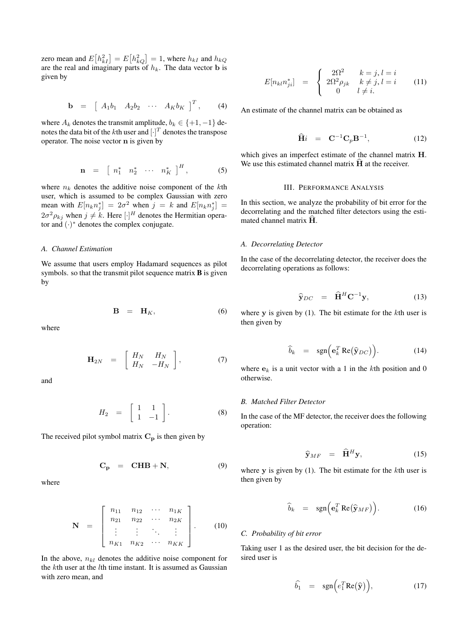zero mean and  $E[h_{kI}^2] = E[h_{kQ}^2] = 1$ , where  $h_{kI}$  and  $h_{kQ}$ are the real and imaginary parts of  $h_k$ . The data vector **b** is given by

$$
\mathbf{b} = \begin{bmatrix} A_1b_1 & A_2b_2 & \cdots & A_Kb_K \end{bmatrix}^T, \qquad (4)
$$

where  $A_k$  denotes the transmit amplitude,  $b_k \in \{+1, -1\}$  denotes the data bit of the *k*th user and  $[\cdot]^T$  denotes the transpose operator. The noise vector **n** is given by

$$
\mathbf{n} = \begin{bmatrix} n_1^* & n_2^* & \cdots & n_K^* \end{bmatrix}^H, \tag{5}
$$

where  $n_k$  denotes the additive noise component of the kth user, which is assumed to be complex Gaussian with zero mean with  $E[n_k n_j^*] = 2\sigma^2$  when  $j = k$  and  $E[n_k n_j^*] =$  $2\sigma^2 \rho_{kj}$  when  $j \neq k$ . Here  $[\cdot]^H$  denotes the Hermitian operator and  $(·)$ <sup>\*</sup> denotes the complex conjugate.

## *A. Channel Estimation*

We assume that users employ Hadamard sequences as pilot symbols. so that the transmit pilot sequence matrix **B** is given by

$$
\mathbf{B} = \mathbf{H}_K, \tag{6}
$$

where

$$
\mathbf{H}_{2N} = \begin{bmatrix} H_N & H_N \\ H_N & -H_N \end{bmatrix}, \tag{7}
$$

and

$$
H_2 = \left[ \begin{array}{cc} 1 & 1 \\ 1 & -1 \end{array} \right]. \tag{8}
$$

The received pilot symbol matrix  $C_p$  is then given by

$$
C_p = \text{CHB} + \text{N}, \tag{9}
$$

where

$$
\mathbf{N} = \begin{bmatrix} n_{11} & n_{12} & \cdots & n_{1K} \\ n_{21} & n_{22} & \cdots & n_{2K} \\ \vdots & \vdots & \ddots & \vdots \\ n_{K1} & n_{K2} & \cdots & n_{KK} \end{bmatrix} .
$$
 (10)

In the above,  $n_{kl}$  denotes the additive noise component for the kth user at the lth time instant. It is assumed as Gaussian with zero mean, and

$$
E[n_{kl}n_{ji}^*] = \begin{cases} 2\Omega^2 & k = j, l = i \\ 2\Omega^2 \rho_{jk} & k \neq j, l = i \\ 0 & l \neq i. \end{cases}
$$
 (11)

An estimate of the channel matrix can be obtained as

$$
\widehat{\mathbf{H}}i = \mathbf{C}^{-1}\mathbf{C}_p\mathbf{B}^{-1}, \tag{12}
$$

which gives an imperfect estimate of the channel matrix **H**. We use this estimated channel matrix  $\hat{H}$  at the receiver.

## III. PERFORMANCE ANALYSIS

In this section, we analyze the probability of bit error for the decorrelating and the matched filter detectors using the estimated channel matrix **<sup>H</sup>** .

#### *A. Decorrelating Detector*

In the case of the decorrelating detector, the receiver does the decorrelating operations as follows:

$$
\widehat{\mathbf{y}}_{DC} = \widehat{\mathbf{H}}^{H} \mathbf{C}^{-1} \mathbf{y}, \qquad (13)
$$

where **y** is given by (1). The bit estimate for the kth user is then given by

$$
\widehat{b}_k = \operatorname{sgn}\left(\mathbf{e}_k^T \operatorname{Re}(\widehat{\mathbf{y}}_{DC})\right). \tag{14}
$$

where  $\mathbf{e}_k$  is a unit vector with a 1 in the kth position and 0 otherwise.

### *B. Matched Filter Detector*

In the case of the MF detector, the receiver does the following operation:

$$
\widehat{\mathbf{y}}_{MF} = \widehat{\mathbf{H}}^H \mathbf{y}, \tag{15}
$$

where **y** is given by (1). The bit estimate for the kth user is then given by

$$
\widehat{b}_k = \operatorname{sgn}\left(\mathbf{e}_k^T \operatorname{Re}(\widehat{\mathbf{y}}_{MF})\right). \tag{16}
$$

## *C. Probability of bit error*

Taking user 1 as the desired user, the bit decision for the desired user is

$$
\widehat{b}_1 = \operatorname{sgn}\left(e_1^T \operatorname{Re}(\widehat{\mathbf{y}})\right), \tag{17}
$$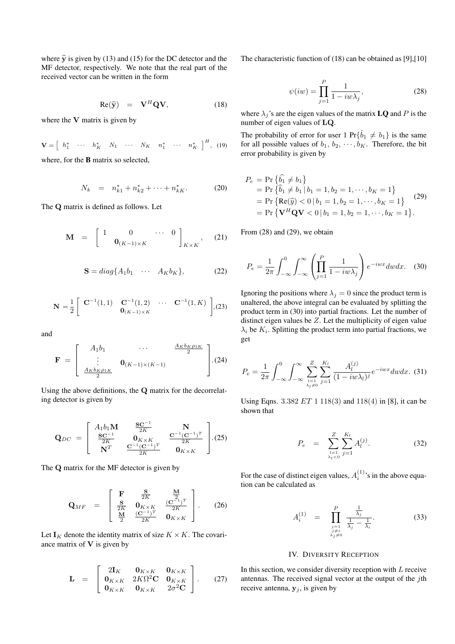where  $\hat{y}$  is given by (13) and (15) for the DC detector and the MF detector, respectively. We note that the real part of the received vector can be written in the form

$$
Re(\hat{y}) = V^H Q V, \qquad (18)
$$

where the **V** matrix is given by

$$
\mathbf{V} = \begin{bmatrix} h_1^* & \cdots & h_K^* & N_1 & \cdots & N_K & n_1^* & \cdots & n_K^* \end{bmatrix}^H, \text{ (19)}
$$
  
where, for the **B** matrix so selected,

$$
N_k = n_{k1}^* + n_{k2}^* + \dots + n_{kK}^*.
$$
 (20)

The **Q** matrix is defined as follows. Let

$$
\mathbf{M} = \begin{bmatrix} 1 & 0 & \cdots & 0 \\ 0 & 0_{(K-1)\times K} & \cdots & \cdots \end{bmatrix}_{K\times K}, \quad (21)
$$

$$
\mathbf{S} = diag\{A_1b_1 \quad \cdots \quad A_Kb_K\},\tag{22}
$$

$$
\mathbf{N} = \frac{1}{2} \begin{bmatrix} \mathbf{C}^{-1}(1,1) & \mathbf{C}^{-1}(1,2) & \cdots & \mathbf{C}^{-1}(1,K) \\ \mathbf{0}_{(K-1)\times K} & & \end{bmatrix}, (23)
$$

and

$$
\mathbf{F} = \begin{bmatrix} A_1 b_1 & \cdots & \frac{A_K b_K \rho_{1K}}{2} \\ \vdots & \mathbf{0}_{(K-1)\times(K-1)} \\ \frac{A_K b_K \rho_{1K}}{2} & \end{bmatrix} . (24)
$$

Using the above definitions, the **Q** matrix for the decorrelating detector is given by

$$
\mathbf{Q}_{DC} = \begin{bmatrix} A_1 b_1 \mathbf{M} & \frac{\mathbf{S} \mathbf{C}^{-1}}{2K} & \mathbf{N} \\ \frac{\mathbf{S} \mathbf{C}^{-1}}{2K} & \mathbf{0}_{K \times K} & \frac{\mathbf{C}^{-1} (\mathbf{C}^{-1})^T}{2K} \\ \mathbf{N}^T & \frac{\mathbf{C}^{-1} (\mathbf{C}^{-1})^T}{2K} & \mathbf{0}_{K \times K} \end{bmatrix} . (25)
$$

The **Q** matrix for the MF detector is given by

$$
\mathbf{Q}_{MF} = \begin{bmatrix} \mathbf{F} & \frac{\mathbf{S}}{2K} & \frac{\mathbf{M}}{2} \\ \frac{\mathbf{S}}{2K} & \mathbf{0}_{K \times K} & \frac{(\mathbf{C}^{-1})^T}{2K} \\ \frac{\mathbf{M}}{2} & \frac{(\mathbf{C}^{-1})^T}{2K} & \mathbf{0}_{K \times K} \end{bmatrix} .
$$
 (26)

Let  $I_K$  denote the identity matrix of size  $K \times K$ . The covariance matrix of **V** is given by

$$
\mathbf{L} = \begin{bmatrix} 2\mathbf{I}_{K} & \mathbf{0}_{K\times K} & \mathbf{0}_{K\times K} \\ \mathbf{0}_{K\times K} & 2K\Omega^{2}\mathbf{C} & \mathbf{0}_{K\times K} \\ \mathbf{0}_{K\times K} & \mathbf{0}_{K\times K} & 2\sigma^{2}\mathbf{C} \end{bmatrix}.
$$
 (27)

The characteristic function of (18) can be obtained as [9],[10]

$$
\psi(iw) = \prod_{j=1}^{P} \frac{1}{1 - iw\lambda_j},\tag{28}
$$

where  $\lambda_i$ 's are the eigen values of the matrix **LQ** and P is the number of eigen values of **LQ**.

The probability of error for user 1  $Pr{\{\hat{b}_1 \neq b_1\}}$  is the same for all possible values of  $b_1, b_2, \cdots, b_K$ . Therefore, the bit error probability is given by

$$
P_e = \Pr \{b_1 \neq b_1\}
$$
  
=  $\Pr \{b_1 \neq b_1 | b_1 = 1, b_2 = 1, \dots, b_K = 1\}$   
=  $\Pr \{ \text{Re}(\widehat{y}) < 0 | b_1 = 1, b_2 = 1, \dots, b_K = 1 \}$  (29)  
=  $\Pr \{ \mathbf{V}^H \mathbf{Q} \mathbf{V} < 0 | b_1 = 1, b_2 = 1, \dots, b_K = 1 \}.$ 

From (28) and (29), we obtain

 $\lambda$ 

$$
P_e = \frac{1}{2\pi} \int_{-\infty}^0 \int_{-\infty}^\infty \left( \prod_{j=1}^P \frac{1}{1 - iw\lambda_j} \right) e^{-iwx} dw dx. \quad (30)
$$

Ignoring the positions where  $\lambda_j = 0$  since the product term is unaltered, the above integral can be evaluated by splitting the product term in (30) into partial fractions. Let the number of distinct eigen values be Z. Let the multiplicity of eigen value  $\lambda_i$  be  $K_i$ . Splitting the product term into partial fractions, we get

$$
P_e = \frac{1}{2\pi} \int_{-\infty}^{0} \int_{-\infty}^{\infty} \sum_{\substack{l=1 \ \lambda_l \neq 0}}^{Z} \sum_{j=1}^{K_l} \frac{A_l^{(j)}}{(1 - iw\lambda_l)^j} e^{-iwx} dw dx. (31)
$$

Using Eqns.  $3.382 ET 1 118(3)$  and  $118(4)$  in [8], it can be shown that

$$
P_e = \sum_{\substack{l=1 \ \lambda_l < 0}}^{Z} \sum_{j=1}^{K_l} A_l^{(j)}.
$$
\n(32)

For the case of distinct eigen values,  $A_i^{(1)}$ 's in the above equation can be calculated as

$$
A_i^{(1)} = \prod_{\substack{j=1 \ j \neq i}}^P \frac{\frac{1}{\lambda_j}}{\frac{1}{\lambda_j} - \frac{1}{\lambda_i}}.
$$
 (33)

## IV. DIVERSITY RECEPTION

In this section, we consider diversity reception with  $L$  receive antennas. The received signal vector at the output of the jth receive antenna,  $y_i$ , is given by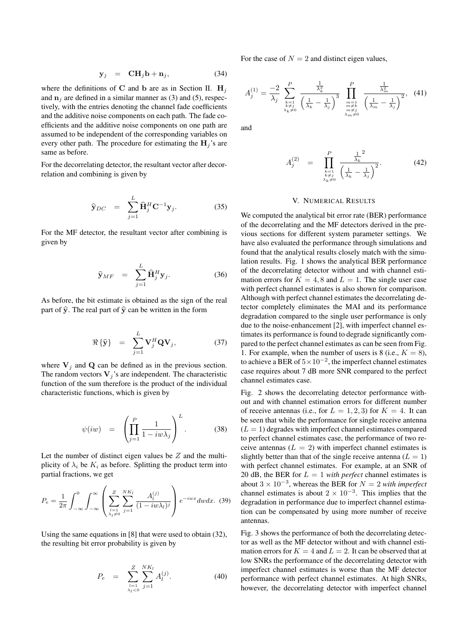$$
\mathbf{y}_j = \mathbf{C} \mathbf{H}_j \mathbf{b} + \mathbf{n}_j, \tag{34}
$$

where the definitions of **C** and **b** are as in Section II.  $H_i$ and  $\mathbf{n}_i$  are defined in a similar manner as (3) and (5), respectively, with the entries denoting the channel fade coefficients and the additive noise components on each path. The fade coefficients and the additive noise components on one path are assumed to be independent of the corresponding variables on every other path. The procedure for estimating the  $H_i$ 's are same as before.

For the decorrelating detector, the resultant vector after decorrelation and combining is given by

$$
\widehat{\mathbf{y}}_{DC} = \sum_{j=1}^{L} \widehat{\mathbf{H}}_j^H \mathbf{C}^{-1} \mathbf{y}_j.
$$
 (35)

For the MF detector, the resultant vector after combining is given by

$$
\widehat{\mathbf{y}}_{MF} = \sum_{j=1}^{L} \widehat{\mathbf{H}}_j^H \mathbf{y}_j.
$$
 (36)

As before, the bit estimate is obtained as the sign of the real part of  $\hat{y}$ . The real part of  $\hat{y}$  can be written in the form

$$
\Re\{\widehat{\mathbf{y}}\} = \sum_{j=1}^{L} \mathbf{V}_j^H \mathbf{Q} \mathbf{V}_j, \tag{37}
$$

where  $V_i$  and  $Q$  can be defined as in the previous section. The random vectors  $V_j$ 's are independent. The characteristic function of the sum therefore is the product of the individual characteristic functions, which is given by

$$
\psi(iw) = \left(\prod_{j=1}^{P} \frac{1}{1 - i w \lambda_j}\right)^L.
$$
 (38)

Let the number of distinct eigen values be  $Z$  and the multiplicity of  $\lambda_i$  be  $K_i$  as before. Splitting the product term into partial fractions, we get

$$
P_e = \frac{1}{2\pi} \int_{-\infty}^{0} \int_{-\infty}^{\infty} \left( \sum_{\substack{l=1 \ \lambda_l \neq 0}}^{Z} \sum_{j=1}^{NK_l} \frac{A_l^{(j)}}{(1-iw\lambda_l)^j} \right) e^{-iwx} dw dx. (39)
$$

Using the same equations in [8] that were used to obtain (32), the resulting bit error probability is given by

$$
P_e = \sum_{\substack{l=1 \ \lambda_l < 0}}^{Z} \sum_{j=1}^{NK_l} A_l^{(j)}.
$$
\n(40)

For the case of  $N = 2$  and distinct eigen values,

$$
A_j^{(1)} = \frac{-2}{\lambda_j} \sum_{\substack{k=1 \\ k \neq j \\ \lambda_k \neq 0}}^P \frac{\frac{1}{\lambda_k^2}}{\left(\frac{1}{\lambda_k} - \frac{1}{\lambda_j}\right)^3} \prod_{\substack{m=1 \\ m \neq k \\ m \neq j \\ \lambda_m \neq 0}}^P \frac{\frac{1}{\lambda_m^2}}{\left(\frac{1}{\lambda_m} - \frac{1}{\lambda_j}\right)^2}, (41)
$$

and

$$
A_j^{(2)} = \prod_{\substack{k=1\\k \neq j\\ \lambda_k \neq 0}}^P \frac{\frac{1}{\lambda_k}^2}{\left(\frac{1}{\lambda_k} - \frac{1}{\lambda_j}\right)^2}.
$$
 (42)

#### V. NUMERICAL RESULTS

We computed the analytical bit error rate (BER) performance of the decorrelating and the MF detectors derived in the previous sections for different system parameter settings. We have also evaluated the performance through simulations and found that the analytical results closely match with the simulation results. Fig. 1 shows the analytical BER performance of the decorrelating detector without and with channel estimation errors for  $K = 4, 8$  and  $L = 1$ . The single user case with perfect channel estimates is also shown for comparison. Although with perfect channel estimates the decorrelating detector completely eliminates the MAI and its performance degradation compared to the single user performance is only due to the noise-enhancement [2], with imperfect channel estimates its performance is found to degrade significantly compared to the perfect channel estimates as can be seen from Fig. 1. For example, when the number of users is 8 (i.e.,  $K = 8$ ), to achieve a BER of  $5 \times 10^{-2}$ , the imperfect channel estimates case requires about 7 dB more SNR compared to the perfect channel estimates case.

Fig. 2 shows the decorrelating detector performance without and with channel estimation errors for different number of receive antennas (i.e., for  $L = 1, 2, 3$ ) for  $K = 4$ . It can be seen that while the performance for single receive antenna  $(L = 1)$  degrades with imperfect channel estimates compared to perfect channel estimates case, the performance of two receive antennas  $(L = 2)$  with imperfect channel estimates is slightly better than that of the single receive antenna  $(L = 1)$ with perfect channel estimates. For example, at an SNR of 20 dB, the BER for  $L = 1$  *with perfect* channel estimates is about  $3 \times 10^{-3}$ , whereas the BER for  $N = 2$  *with imperfect* channel estimates is about  $2 \times 10^{-3}$ . This implies that the degradation in performance due to imperfect channel estimation can be compensated by using more number of receive antennas.

Fig. 3 shows the performance of both the decorrelating detector as well as the MF detector without and with channel estimation errors for  $K = 4$  and  $L = 2$ . It can be observed that at low SNRs the performance of the decorrelating detector with imperfect channel estimates is worse than the MF detector performance with perfect channel estimates. At high SNRs, however, the decorrelating detector with imperfect channel